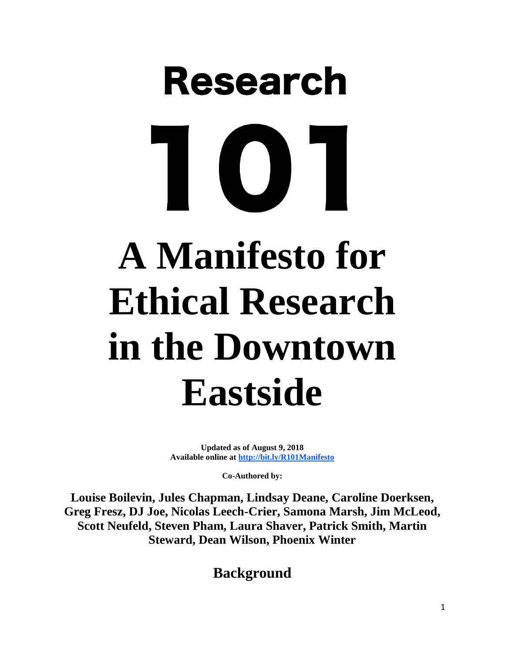# **Research A Manifesto for Ethical Research in the Downtown Eastside**

**Updated as of August 9, 2018 Available online at<http://bit.ly/R101Manifesto>**

**Co-Authored by:**

**Louise Boilevin, Jules Chapman, Lindsay Deane, Caroline Doerksen, Greg Fresz, DJ Joe, Nicolas Leech-Crier, Samona Marsh, Jim McLeod, Scott Neufeld, Steven Pham, Laura Shaver, Patrick Smith, Martin Steward, Dean Wilson, Phoenix Winter**

**Background**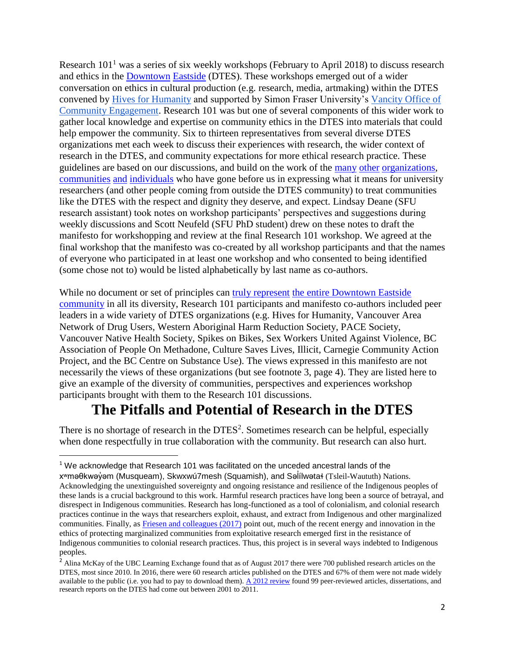Research  $101<sup>1</sup>$  was a series of six weekly workshops (February to April 2018) to discuss research and ethics in the [Downtown](http://www.carnegieaction.org/wp-content/uploads/2016/08/Nothing-About-Us-Without-Us.pdf) [Eastside](http://www.carnegieaction.org/wp-content/uploads/2016/08/assets-to-action1.pdf) (DTES). These workshops emerged out of a wider conversation on ethics in cultural production (e.g. research, media, artmaking) within the DTES convened by [Hives for Humanity](http://www.hivesforhumanity.com/) and supported by Simon Fraser University's [Vancity Office of](https://www.sfu.ca/sfuwoodwards/community-engagement.html)  [Community Engagement.](https://www.sfu.ca/sfuwoodwards/community-engagement.html) Research 101 was but one of several components of this wider work to gather local knowledge and expertise on community ethics in the DTES into materials that could help empower the community. Six to thirteen representatives from several diverse DTES organizations met each week to discuss their experiences with research, the wider context of research in the DTES, and community expectations for more ethical research practice. These guidelines are based on our discussions, and build on the work of the [many](http://www.vnhs.net/downloads/charter-finalized-2.pdf) [other](http://wahrs.ca/wp-content/uploads/2017/03/Aboriginal-Peoples-Experiences-with_Research.pdf) [organizations,](https://vandureplace.wordpress.com/research/) [communities](http://www.pace-society.org/wp-content/uploads/2014/04/Community_Research_Guidelines.pdf) [and](https://drugpolicy.ca/wp-content/uploads/2012/03/NPAreportMarch5-12.pdf) [individuals](https://open.library.ubc.ca/cIRcle/collections/facultyresearchandpublications/52383/items/1.0221485) who have gone before us in expressing what it means for university researchers (and other people coming from outside the DTES community) to treat communities like the DTES with the respect and dignity they deserve, and expect. Lindsay Deane (SFU research assistant) took notes on workshop participants' perspectives and suggestions during weekly discussions and Scott Neufeld (SFU PhD student) drew on these notes to draft the manifesto for workshopping and review at the final Research 101 workshop. We agreed at the final workshop that the manifesto was co-created by all workshop participants and that the names of everyone who participated in at least one workshop and who consented to being identified (some chose not to) would be listed alphabetically by last name as co-authors.

While no document or set of principles can [truly represent](https://www.ncbi.nlm.nih.gov/pubmed/9541070) [the entire Downtown Eastside](https://www.researchgate.net/publication/293137191_Community-Based_Research_in_the_Downtown_Eastside_of_Vancouver) [community](https://nsuworks.nova.edu/cgi/viewcontent.cgi?article=1684&context=tqr/) in all its diversity, Research 101 participants and manifesto co-authors included peer leaders in a wide variety of DTES organizations (e.g. Hives for Humanity, Vancouver Area Network of Drug Users, Western Aboriginal Harm Reduction Society, PACE Society, Vancouver Native Health Society, Spikes on Bikes, Sex Workers United Against Violence, BC Association of People On Methadone, Culture Saves Lives, Illicit, Carnegie Community Action Project, and the BC Centre on Substance Use). The views expressed in this manifesto are not necessarily the views of these organizations (but see footnote 3, page 4). They are listed here to give an example of the diversity of communities, perspectives and experiences workshop participants brought with them to the Research 101 discussions.

#### **The Pitfalls and Potential of Research in the DTES**

There is no shortage of research in the  $DTES<sup>2</sup>$ . Sometimes research can be helpful, especially when done respectfully in true collaboration with the community. But research can also hurt.

 $\overline{\phantom{a}}$ 

<sup>&</sup>lt;sup>1</sup> We acknowledge that Research 101 was facilitated on the unceded ancestral lands of the xʷməθkwəỷəm (Musqueam), Skwxwú7mesh (Squamish), and Səİílwətaɬ (Tsleil-Waututh) Nations. ̓ Acknowledging the unextinguished sovereignty and ongoing resistance and resilience of the Indigenous peoples of these lands is a crucial background to this work. Harmful research practices have long been a source of betrayal, and disrespect in Indigenous communities. Research has long-functioned as a tool of colonialism, and colonial research practices continue in the ways that researchers exploit, exhaust, and extract from Indigenous and other marginalized communities. Finally, as [Friesen and colleagues \(2017\)](https://www.researchgate.net/publication/320918943_Extending_Ethical_Strides_From_Tribal_IRBs_to_the_Bronx_Community_Research_Review_Board) point out, much of the recent energy and innovation in the ethics of protecting marginalized communities from exploitative research emerged first in the resistance of Indigenous communities to colonial research practices. Thus, this project is in several ways indebted to Indigenous peoples.

<sup>&</sup>lt;sup>2</sup> Alina McKay of the UBC Learning Exchange found that as of August 2017 there were 700 published research articles on the DTES, most since 2010. In 2016, there were 60 research articles published on the DTES and 67% of them were not made widely available to the public (i.e. you had to pay to download them). [A 2012 review](http://med-fom-krauszresearch.sites.olt.ubc.ca/files/2015/12/Linden-et-al.-2013-Research-on-a-vulnerable-neighborhood-The-vancouver-downtown-eastside-from-2001-to-2011.pdf) found 99 peer-reviewed articles, dissertations, and research reports on the DTES had come out between 2001 to 2011.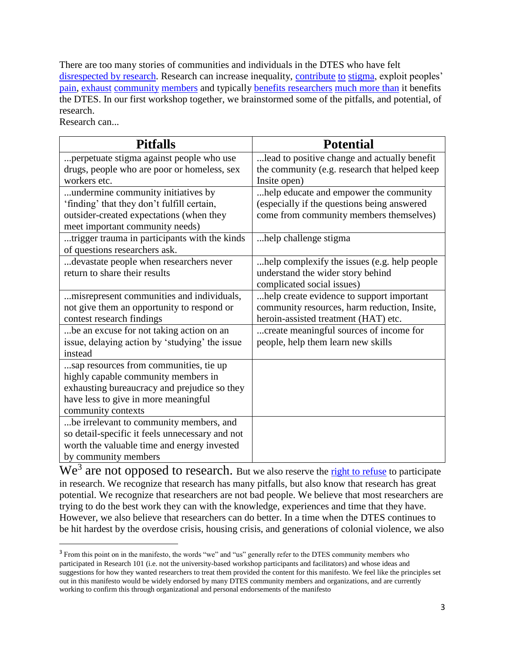There are too many stories of communities and individuals in the DTES who have felt [disrespected by research.](http://www.vancouversun.com/health/pete+mcmartin+high+cost+misery+vancouver+downtown+eastside/11632586/story.html) Research can increase inequality, [contribute](https://www.deepdyve.com/lp/wiley/making-news-and-making-space-framing-vancouver-s-downtown-eastside-cPxbuI1f0m) [to](http://ibis.geog.ubc.ca/~ewyly/u200/liu_blomley.pdf) [stigma,](http://ojs.library.ubc.ca/index.php/bcstudies/article/view/1560/1603) exploit peoples' [pain,](https://static1.squarespace.com/static/557744ffe4b013bae3b7af63/t/557f2fe2e4b043c28125cc27/1434398690240/Tuck_Suspending+Damage_HER.pdf) [exhaust](https://www.researchgate.net/publication/249825955_We) [community](https://commons.clarku.edu/cgi/viewcontent.cgi?article=1018&context=localknowledge) [members](http://ojs.library.ubc.ca/index.php/bcstudies/article/viewFile/1692/1738) and typically [benefits researchers](https://open.library.ubc.ca/cIRcle/collections/facultyresearchandpublications/52383/items/1.0221485) [much more than](http://journals.sagepub.com/doi/pdf/10.1177/1476750307083720) it benefits the DTES. In our first workshop together, we brainstormed some of the pitfalls, and potential, of research.

Research can...

 $\overline{a}$ 

| <b>Pitfalls</b>                                                                                                                                                                             | <b>Potential</b>                                                                                                                  |
|---------------------------------------------------------------------------------------------------------------------------------------------------------------------------------------------|-----------------------------------------------------------------------------------------------------------------------------------|
| perpetuate stigma against people who use                                                                                                                                                    | lead to positive change and actually benefit                                                                                      |
| drugs, people who are poor or homeless, sex                                                                                                                                                 | the community (e.g. research that helped keep                                                                                     |
| workers etc.                                                                                                                                                                                | Insite open)                                                                                                                      |
| undermine community initiatives by<br>'finding' that they don't fulfill certain,<br>outsider-created expectations (when they<br>meet important community needs)                             | help educate and empower the community<br>(especially if the questions being answered<br>come from community members themselves)  |
| trigger trauma in participants with the kinds<br>of questions researchers ask.                                                                                                              | help challenge stigma.                                                                                                            |
| devastate people when researchers never<br>return to share their results                                                                                                                    | help complexify the issues (e.g. help people<br>understand the wider story behind<br>complicated social issues)                   |
| misrepresent communities and individuals,<br>not give them an opportunity to respond or<br>contest research findings                                                                        | help create evidence to support important<br>community resources, harm reduction, Insite,<br>heroin-assisted treatment (HAT) etc. |
| be an excuse for not taking action on an<br>issue, delaying action by 'studying' the issue<br>instead                                                                                       | create meaningful sources of income for<br>people, help them learn new skills                                                     |
| sap resources from communities, tie up<br>highly capable community members in<br>exhausting bureaucracy and prejudice so they<br>have less to give in more meaningful<br>community contexts |                                                                                                                                   |
| be irrelevant to community members, and<br>so detail-specific it feels unnecessary and not<br>worth the valuable time and energy invested<br>by community members                           |                                                                                                                                   |

We<sup>3</sup> are not opposed to research. But we also reserve the [right to refuse](https://static1.squarespace.com/static/557744ffe4b013bae3b7af63/t/557f2ee5e4b0220eff4ae4b5/1434398437409/Tuck+and+Yang+R+Words_Refusing+Research.pdf) to participate in research. We recognize that research has many pitfalls, but also know that research has great potential. We recognize that researchers are not bad people. We believe that most researchers are trying to do the best work they can with the knowledge, experiences and time that they have. However, we also believe that researchers can do better. In a time when the DTES continues to be hit hardest by the overdose crisis, housing crisis, and generations of colonial violence, we also

<sup>&</sup>lt;sup>3</sup> From this point on in the manifesto, the words "we" and "us" generally refer to the DTES community members who participated in Research 101 (i.e. not the university-based workshop participants and facilitators) and whose ideas and suggestions for how they wanted researchers to treat them provided the content for this manifesto. We feel like the principles set out in this manifesto would be widely endorsed by many DTES community members and organizations, and are currently working to confirm this through organizational and personal endorsements of the manifesto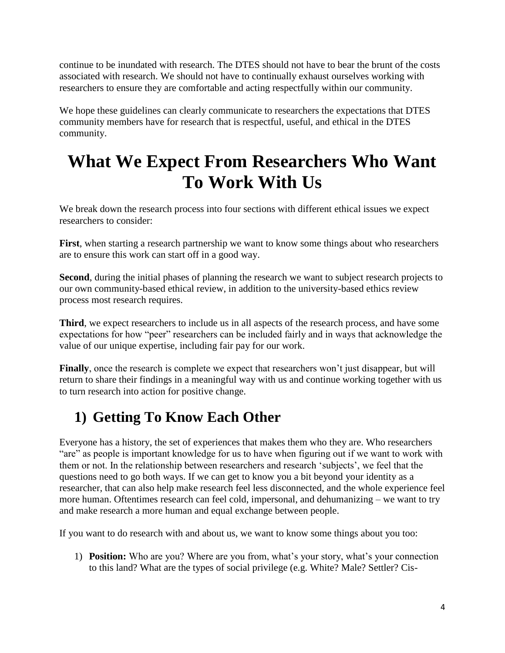continue to be inundated with research. The DTES should not have to bear the brunt of the costs associated with research. We should not have to continually exhaust ourselves working with researchers to ensure they are comfortable and acting respectfully within our community.

We hope these guidelines can clearly communicate to researchers the expectations that DTES community members have for research that is respectful, useful, and ethical in the DTES community.

## **What We Expect From Researchers Who Want To Work With Us**

We break down the research process into four sections with different ethical issues we expect researchers to consider:

**First**, when starting a research partnership we want to know some things about who researchers are to ensure this work can start off in a good way.

**Second**, during the initial phases of planning the research we want to subject research projects to our own community-based ethical review, in addition to the university-based ethics review process most research requires.

**Third**, we expect researchers to include us in all aspects of the research process, and have some expectations for how "peer" researchers can be included fairly and in ways that acknowledge the value of our unique expertise, including fair pay for our work.

**Finally**, once the research is complete we expect that researchers won't just disappear, but will return to share their findings in a meaningful way with us and continue working together with us to turn research into action for positive change.

## **1) Getting To Know Each Other**

Everyone has a history, the set of experiences that makes them who they are. Who researchers "are" as people is important knowledge for us to have when figuring out if we want to work with them or not. In the relationship between researchers and research 'subjects', we feel that the questions need to go both ways. If we can get to know you a bit beyond your identity as a researcher, that can also help make research feel less disconnected, and the whole experience feel more human. Oftentimes research can feel cold, impersonal, and dehumanizing – we want to try and make research a more human and equal exchange between people.

If you want to do research with and about us, we want to know some things about you too:

1) **Position:** Who are you? Where are you from, what's your story, what's your connection to this land? What are the types of social privilege (e.g. White? Male? Settler? Cis-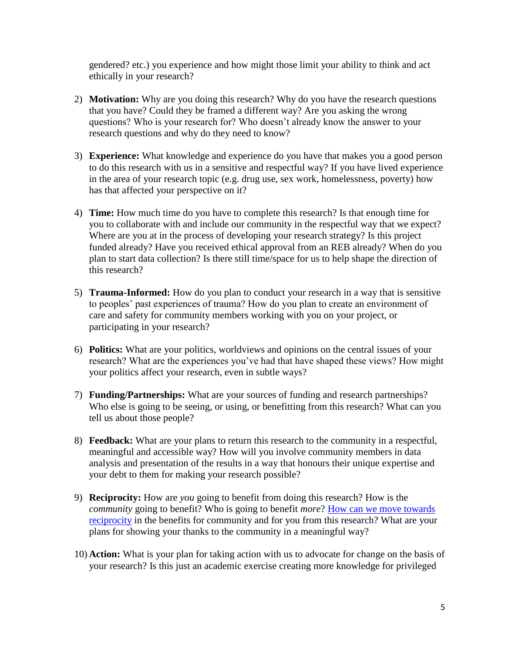gendered? etc.) you experience and how might those limit your ability to think and act ethically in your research?

- 2) **Motivation:** Why are you doing this research? Why do you have the research questions that you have? Could they be framed a different way? Are you asking the wrong questions? Who is your research for? Who doesn't already know the answer to your research questions and why do they need to know?
- 3) **Experience:** What knowledge and experience do you have that makes you a good person to do this research with us in a sensitive and respectful way? If you have lived experience in the area of your research topic (e.g. drug use, sex work, homelessness, poverty) how has that affected your perspective on it?
- 4) **Time:** How much time do you have to complete this research? Is that enough time for you to collaborate with and include our community in the respectful way that we expect? Where are you at in the process of developing your research strategy? Is this project funded already? Have you received ethical approval from an REB already? When do you plan to start data collection? Is there still time/space for us to help shape the direction of this research?
- 5) **Trauma-Informed:** How do you plan to conduct your research in a way that is sensitive to peoples' past experiences of trauma? How do you plan to create an environment of care and safety for community members working with you on your project, or participating in your research?
- 6) **Politics:** What are your politics, worldviews and opinions on the central issues of your research? What are the experiences you've had that have shaped these views? How might your politics affect your research, even in subtle ways?
- 7) **Funding/Partnerships:** What are your sources of funding and research partnerships? Who else is going to be seeing, or using, or benefitting from this research? What can you tell us about those people?
- 8) **Feedback:** What are your plans to return this research to the community in a respectful, meaningful and accessible way? How will you involve community members in data analysis and presentation of the results in a way that honours their unique expertise and your debt to them for making your research possible?
- 9) **Reciprocity:** How are *you* going to benefit from doing this research? How is the *community* going to benefit? Who is going to benefit *more*? [How can we move towards](http://journals.sagepub.com/doi/pdf/10.1177/1476750307083720)  [reciprocity](http://journals.sagepub.com/doi/pdf/10.1177/1476750307083720) in the benefits for community and for you from this research? What are your plans for showing your thanks to the community in a meaningful way?
- 10) **Action:** What is your plan for taking action with us to advocate for change on the basis of your research? Is this just an academic exercise creating more knowledge for privileged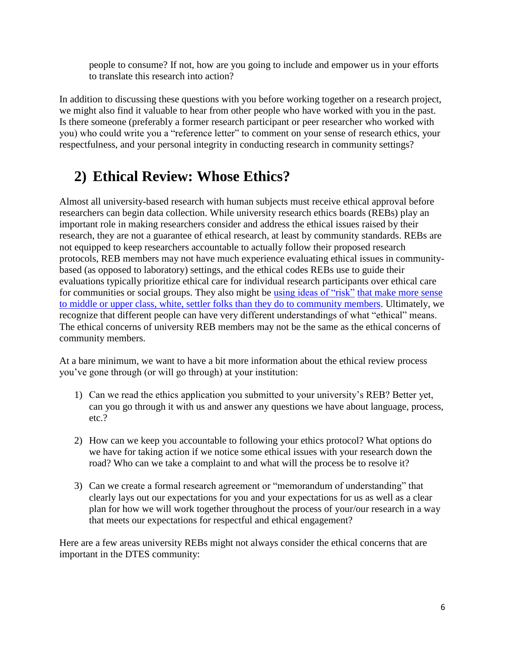people to consume? If not, how are you going to include and empower us in your efforts to translate this research into action?

In addition to discussing these questions with you before working together on a research project, we might also find it valuable to hear from other people who have worked with you in the past. Is there someone (preferably a former research participant or peer researcher who worked with you) who could write you a "reference letter" to comment on your sense of research ethics, your respectfulness, and your personal integrity in conducting research in community settings?

#### **2) Ethical Review: Whose Ethics?**

Almost all university-based research with human subjects must receive ethical approval before researchers can begin data collection. While university research ethics boards (REBs) play an important role in making researchers consider and address the ethical issues raised by their research, they are not a guarantee of ethical research, at least by community standards. REBs are not equipped to keep researchers accountable to actually follow their proposed research protocols, REB members may not have much experience evaluating ethical issues in communitybased (as opposed to laboratory) settings, and the ethical codes REBs use to guide their evaluations typically prioritize ethical care for individual research participants over ethical care for communities or social groups. They also might be [using ideas of "risk"](http://journals.sagepub.com/doi/pdf/10.1177/1747016112461731) that make more sense [to middle or upper class, white, settler folks than they do to community members.](https://static1.squarespace.com/static/557744ffe4b013bae3b7af63/t/557f2fc0e4b04b2acdbab671/1434398656711/Tuck+%26+Guishard_Uncollapsing+ethics+Racialized+sciencism+settler+coloniality+and+DPAR.pdf) Ultimately, we recognize that different people can have very different understandings of what "ethical" means. The ethical concerns of university REB members may not be the same as the ethical concerns of community members.

At a bare minimum, we want to have a bit more information about the ethical review process you've gone through (or will go through) at your institution:

- 1) Can we read the ethics application you submitted to your university's REB? Better yet, can you go through it with us and answer any questions we have about language, process, etc.?
- 2) How can we keep you accountable to following your ethics protocol? What options do we have for taking action if we notice some ethical issues with your research down the road? Who can we take a complaint to and what will the process be to resolve it?
- 3) Can we create a formal research agreement or "memorandum of understanding" that clearly lays out our expectations for you and your expectations for us as well as a clear plan for how we will work together throughout the process of your/our research in a way that meets our expectations for respectful and ethical engagement?

Here are a few areas university REBs might not always consider the ethical concerns that are important in the DTES community: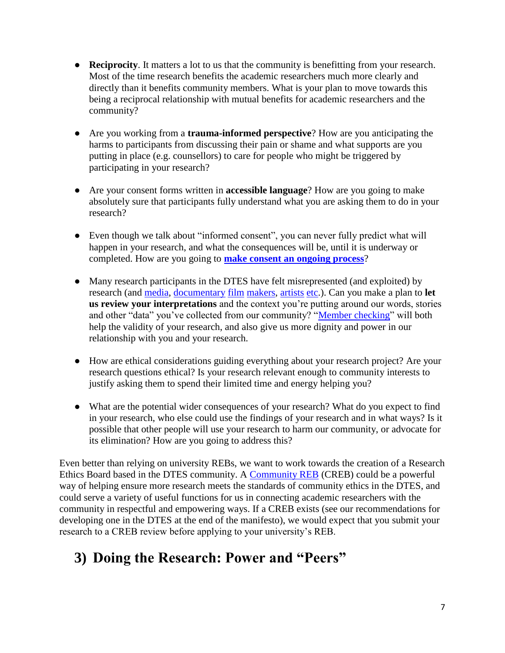- **Reciprocity**. It matters a lot to us that the community is benefitting from your research. Most of the time research benefits the academic researchers much more clearly and directly than it benefits community members. What is your plan to move towards this being a reciprocal relationship with mutual benefits for academic researchers and the community?
- Are you working from a **trauma-informed perspective**? How are you anticipating the harms to participants from discussing their pain or shame and what supports are you putting in place (e.g. counsellors) to care for people who might be triggered by participating in your research?
- Are your consent forms written in **accessible language**? How are you going to make absolutely sure that participants fully understand what you are asking them to do in your research?
- Even though we talk about "informed consent", you can never fully predict what will happen in your research, and what the consequences will be, until it is underway or completed. How are you going to **[make consent an ongoing process](http://www.sfu.ca/~culhane/manual08.pdf)**?
- Many research participants in the DTES have felt misrepresented (and exploited) by research (and [media,](https://thetyee.ca/Mediacheck/2018/07/12/Reporting-Do-Harm-Good/) [documentary](http://themainlander.com/2014/04/16/kickstarting-the-gentrification-movement-how-gnarcore-leveraged-the-dtes-in-their-search-for-funds/) [film](http://eprints.nottingham.ac.uk/13008/1/R_Walls_PhD_thesis.pdf) [makers,](http://summit.sfu.ca/item/14173) [artists](https://www.vancouverobserver.com/politics/investigations/2011/02/08/when-outsider-paints-dtes-missing-women) [etc.](https://woodsquat.wordpress.com/reference/margot-leigh-butler/)). Can you make a plan to **let us review your interpretations** and the context you're putting around our words, stories and other "data" you've collected from our community? ["Member checking"](https://nsuworks.nova.edu/cgi/viewcontent.cgi?article=2386&context=tqr) will both help the validity of your research, and also give us more dignity and power in our relationship with you and your research.
- How are ethical considerations guiding everything about your research project? Are your research questions ethical? Is your research relevant enough to community interests to justify asking them to spend their limited time and energy helping you?
- What are the potential wider consequences of your research? What do you expect to find in your research, who else could use the findings of your research and in what ways? Is it possible that other people will use your research to harm our community, or advocate for its elimination? How are you going to address this?

Even better than relying on university REBs, we want to work towards the creation of a Research Ethics Board based in the DTES community. A [Community REB](http://www.bxcrrb.org/) (CREB) could be a powerful way of helping ensure more research meets the standards of community ethics in the DTES, and could serve a variety of useful functions for us in connecting academic researchers with the community in respectful and empowering ways. If a CREB exists (see our recommendations for developing one in the DTES at the end of the manifesto), we would expect that you submit your research to a CREB review before applying to your university's REB.

## **3) Doing the Research: Power and "Peers"**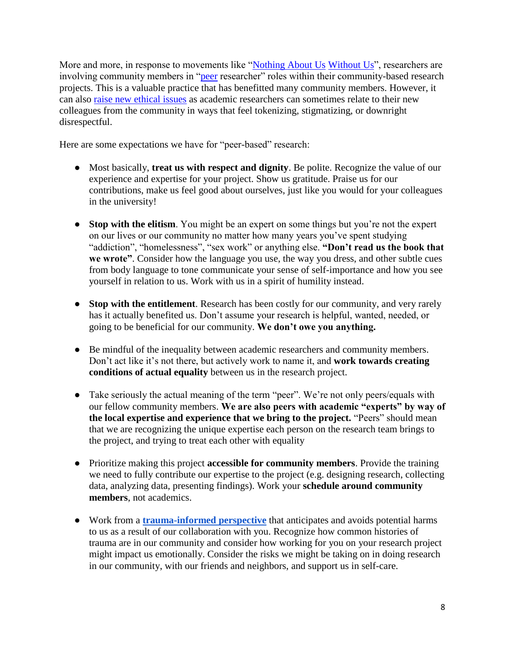More and more, in response to movements like ["Nothing About Us](http://www.aidslaw.ca/site/wp-content/uploads/2013/04/Greater+Involvement+-+Bklt+-+Drug+Policy+-+ENG.pdf) [Without Us"](https://www.opensocietyfoundations.org/sites/default/files/Intl%2520Manifesto%2520Nothing%2520About%2520Us%2520%2528May%25202008%2529_0.pdf), researchers are involving community members in ["peer](http://librarypdf.catie.ca/PDF/ATI-20000s/26521E.pdf) researcher" roles within their community-based research projects. This is a valuable practice that has benefitted many community members. However, it can also [raise new ethical issues](https://europepmc.org/backend/ptpmcrender.fcgi?accid=PMC5438752&blobtype=pdf) as academic researchers can sometimes relate to their new colleagues from the community in ways that feel tokenizing, stigmatizing, or downright disrespectful.

Here are some expectations we have for "peer-based" research:

- Most basically, **treat us with respect and dignity**. Be polite. Recognize the value of our experience and expertise for your project. Show us gratitude. Praise us for our contributions, make us feel good about ourselves, just like you would for your colleagues in the university!
- **Stop with the elitism**. You might be an expert on some things but you're not the expert on our lives or our community no matter how many years you've spent studying "addiction", "homelessness", "sex work" or anything else. **"Don't read us the book that we wrote"**. Consider how the language you use, the way you dress, and other subtle cues from body language to tone communicate your sense of self-importance and how you see yourself in relation to us. Work with us in a spirit of humility instead.
- **Stop with the entitlement**. Research has been costly for our community, and very rarely has it actually benefited us. Don't assume your research is helpful, wanted, needed, or going to be beneficial for our community. **We don't owe you anything.**
- Be mindful of the inequality between academic researchers and community members. Don't act like it's not there, but actively work to name it, and **work towards creating conditions of actual equality** between us in the research project.
- Take seriously the actual meaning of the term "peer". We're not only peers/equals with our fellow community members. **We are also peers with academic "experts" by way of the local expertise and experience that we bring to the project.** "Peers" should mean that we are recognizing the unique expertise each person on the research team brings to the project, and trying to treat each other with equality
- Prioritize making this project **accessible for community members**. Provide the training we need to fully contribute our expertise to the project (e.g. designing research, collecting data, analyzing data, presenting findings). Work your **schedule around community members**, not academics.
- Work from a **[trauma-informed perspective](https://www.samhsa.gov/nctic/trauma-interventions)** that anticipates and avoids potential harms to us as a result of our collaboration with you. Recognize how common histories of trauma are in our community and consider how working for you on your research project might impact us emotionally. Consider the risks we might be taking on in doing research in our community, with our friends and neighbors, and support us in self-care.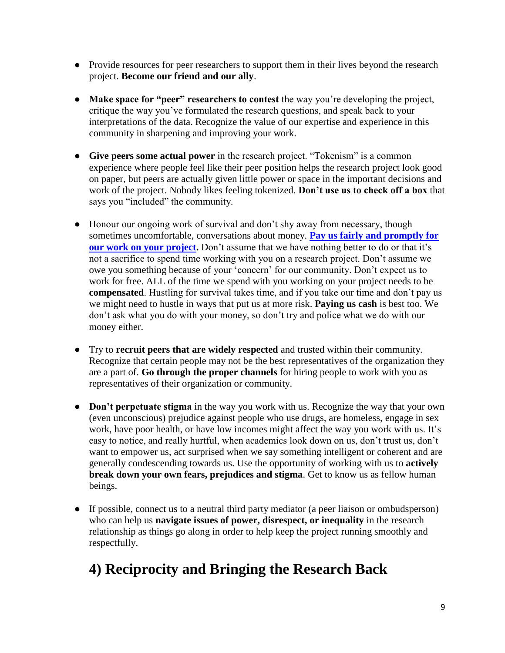- Provide resources for peer researchers to support them in their lives beyond the research project. **Become our friend and our ally**.
- **Make space for "peer" researchers to contest** the way you're developing the project, critique the way you've formulated the research questions, and speak back to your interpretations of the data. Recognize the value of our expertise and experience in this community in sharpening and improving your work.
- **Give peers some actual power** in the research project. "Tokenism" is a common experience where people feel like their peer position helps the research project look good on paper, but peers are actually given little power or space in the important decisions and work of the project. Nobody likes feeling tokenized. **Don't use us to check off a box** that says you "included" the community.
- Honour our ongoing work of survival and don't shy away from necessary, though sometimes uncomfortable, conversations about money. **[Pay us fairly and promptly for](http://www.bccdc.ca/resource-gallery/Documents/Educational%20Materials/Epid/Other/peer_payment-guide_2018.pdf)  [our work on your project.](http://www.bccdc.ca/resource-gallery/Documents/Educational%20Materials/Epid/Other/peer_payment-guide_2018.pdf)** Don't assume that we have nothing better to do or that it's not a sacrifice to spend time working with you on a research project. Don't assume we owe you something because of your 'concern' for our community. Don't expect us to work for free. ALL of the time we spend with you working on your project needs to be **compensated**. Hustling for survival takes time, and if you take our time and don't pay us we might need to hustle in ways that put us at more risk. **Paying us cash** is best too. We don't ask what you do with your money, so don't try and police what we do with our money either.
- Try to **recruit peers that are widely respected** and trusted within their community. Recognize that certain people may not be the best representatives of the organization they are a part of. **Go through the proper channels** for hiring people to work with you as representatives of their organization or community.
- **Don't perpetuate stigma** in the way you work with us. Recognize the way that your own (even unconscious) prejudice against people who use drugs, are homeless, engage in sex work, have poor health, or have low incomes might affect the way you work with us. It's easy to notice, and really hurtful, when academics look down on us, don't trust us, don't want to empower us, act surprised when we say something intelligent or coherent and are generally condescending towards us. Use the opportunity of working with us to **actively break down your own fears, prejudices and stigma**. Get to know us as fellow human beings.
- If possible, connect us to a neutral third party mediator (a peer liaison or ombudsperson) who can help us **navigate issues of power, disrespect, or inequality** in the research relationship as things go along in order to help keep the project running smoothly and respectfully.

## **4) Reciprocity and Bringing the Research Back**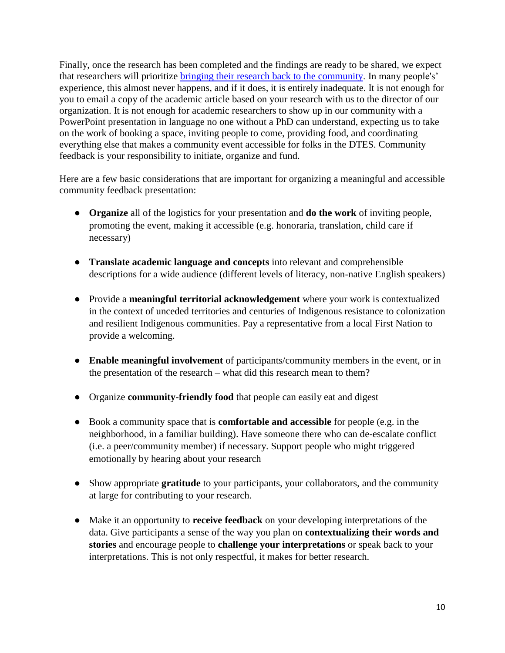Finally, once the research has been completed and the findings are ready to be shared, we expect that researchers will prioritize [bringing their research back to the community.](http://www.kmbtoolkit.ca/sites/all/themes/kmb/assets/images/Knowledge_Mobilization_Planning_Form.pdf) In many people's' experience, this almost never happens, and if it does, it is entirely inadequate. It is not enough for you to email a copy of the academic article based on your research with us to the director of our organization. It is not enough for academic researchers to show up in our community with a PowerPoint presentation in language no one without a PhD can understand, expecting us to take on the work of booking a space, inviting people to come, providing food, and coordinating everything else that makes a community event accessible for folks in the DTES. Community feedback is your responsibility to initiate, organize and fund.

Here are a few basic considerations that are important for organizing a meaningful and accessible community feedback presentation:

- **Organize** all of the logistics for your presentation and **do the work** of inviting people, promoting the event, making it accessible (e.g. honoraria, translation, child care if necessary)
- **Translate academic language and concepts** into relevant and comprehensible descriptions for a wide audience (different levels of literacy, non-native English speakers)
- Provide a **meaningful territorial acknowledgement** where your work is contextualized in the context of unceded territories and centuries of Indigenous resistance to colonization and resilient Indigenous communities. Pay a representative from a local First Nation to provide a welcoming.
- **Enable meaningful involvement** of participants/community members in the event, or in the presentation of the research – what did this research mean to them?
- Organize **community-friendly food** that people can easily eat and digest
- Book a community space that is **comfortable and accessible** for people (e.g. in the neighborhood, in a familiar building). Have someone there who can de-escalate conflict (i.e. a peer/community member) if necessary. Support people who might triggered emotionally by hearing about your research
- Show appropriate **gratitude** to your participants, your collaborators, and the community at large for contributing to your research.
- Make it an opportunity to **receive feedback** on your developing interpretations of the data. Give participants a sense of the way you plan on **contextualizing their words and stories** and encourage people to **challenge your interpretations** or speak back to your interpretations. This is not only respectful, it makes for better research.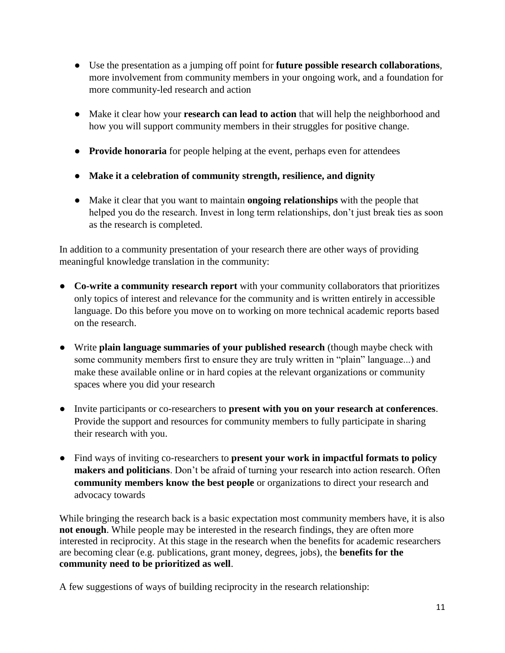- Use the presentation as a jumping off point for **future possible research collaborations**, more involvement from community members in your ongoing work, and a foundation for more community-led research and action
- Make it clear how your **research can lead to action** that will help the neighborhood and how you will support community members in their struggles for positive change.
- **Provide honoraria** for people helping at the event, perhaps even for attendees
- **Make it a celebration of community strength, resilience, and dignity**
- Make it clear that you want to maintain **ongoing relationships** with the people that helped you do the research. Invest in long term relationships, don't just break ties as soon as the research is completed.

In addition to a community presentation of your research there are other ways of providing meaningful knowledge translation in the community:

- **Co-write a community research report** with your community collaborators that prioritizes only topics of interest and relevance for the community and is written entirely in accessible language. Do this before you move on to working on more technical academic reports based on the research.
- Write **plain language summaries of your published research** (though maybe check with some community members first to ensure they are truly written in "plain" language...) and make these available online or in hard copies at the relevant organizations or community spaces where you did your research
- Invite participants or co-researchers to **present with you on your research at conferences**. Provide the support and resources for community members to fully participate in sharing their research with you.
- Find ways of inviting co-researchers to **present your work in impactful formats to policy makers and politicians**. Don't be afraid of turning your research into action research. Often **community members know the best people** or organizations to direct your research and advocacy towards

While bringing the research back is a basic expectation most community members have, it is also **not enough**. While people may be interested in the research findings, they are often more interested in reciprocity. At this stage in the research when the benefits for academic researchers are becoming clear (e.g. publications, grant money, degrees, jobs), the **benefits for the community need to be prioritized as well**.

A few suggestions of ways of building reciprocity in the research relationship: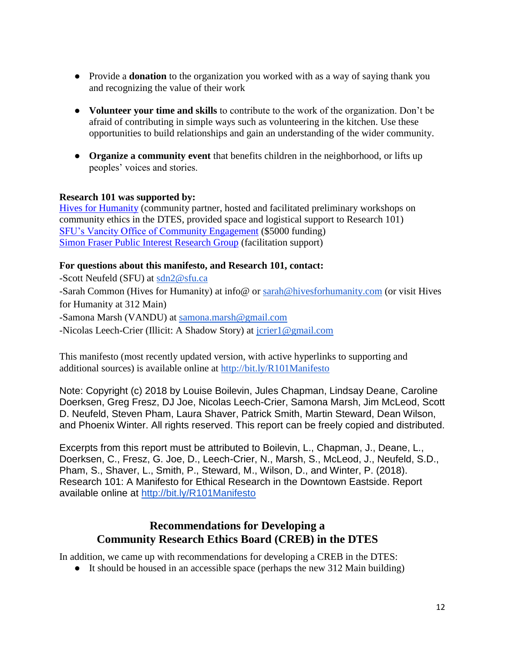- Provide a **donation** to the organization you worked with as a way of saying thank you and recognizing the value of their work
- **Volunteer your time and skills** to contribute to the work of the organization. Don't be afraid of contributing in simple ways such as volunteering in the kitchen. Use these opportunities to build relationships and gain an understanding of the wider community.
- **Organize a community event** that benefits children in the neighborhood, or lifts up peoples' voices and stories.

#### **Research 101 was supported by:**

[Hives for Humanity](http://hivesforhumanity.com/) (community partner, hosted and facilitated preliminary workshops on community ethics in the DTES, provided space and logistical support to Research 101) [SFU's Vancity Office of Community Engagement](https://www.sfu.ca/sfuwoodwards/community-engagement.html) (\$5000 funding) [Simon Fraser Public Interest Research Group](https://sfpirg.ca/) (facilitation support)

#### **For questions about this manifesto, and Research 101, contact:**

-Scott Neufeld (SFU) at [sdn2@sfu.ca](mailto:sdn2@sfu.ca) -Sarah Common (Hives for Humanity) at info@ or [sarah@hivesforhumanity.com](mailto:sarah@hivesforhumanity.com) (or visit Hives for Humanity at 312 Main) -Samona Marsh (VANDU) at [samona.marsh@gmail.com](mailto:samona.marsh@gmail.com) -Nicolas Leech-Crier (Illicit: A Shadow Story) at [jcrier1@gmail.com](mailto:jcrier1@gmail.com)

This manifesto (most recently updated version, with active hyperlinks to supporting and additional sources) is available online at<http://bit.ly/R101Manifesto>

Note: Copyright (c) 2018 by Louise Boilevin, Jules Chapman, Lindsay Deane, Caroline Doerksen, Greg Fresz, DJ Joe, Nicolas Leech-Crier, Samona Marsh, Jim McLeod, Scott D. Neufeld, Steven Pham, Laura Shaver, Patrick Smith, Martin Steward, Dean Wilson, and Phoenix Winter. All rights reserved. This report can be freely copied and distributed.

Excerpts from this report must be attributed to Boilevin, L., Chapman, J., Deane, L., Doerksen, C., Fresz, G. Joe, D., Leech-Crier, N., Marsh, S., McLeod, J., Neufeld, S.D., Pham, S., Shaver, L., Smith, P., Steward, M., Wilson, D., and Winter, P. (2018). Research 101: A Manifesto for Ethical Research in the Downtown Eastside. Report available online at<http://bit.ly/R101Manifesto>

#### **Recommendations for Developing a Community Research Ethics Board (CREB) in the DTES**

In addition, we came up with recommendations for developing a CREB in the DTES:

● It should be housed in an accessible space (perhaps the new 312 Main building)